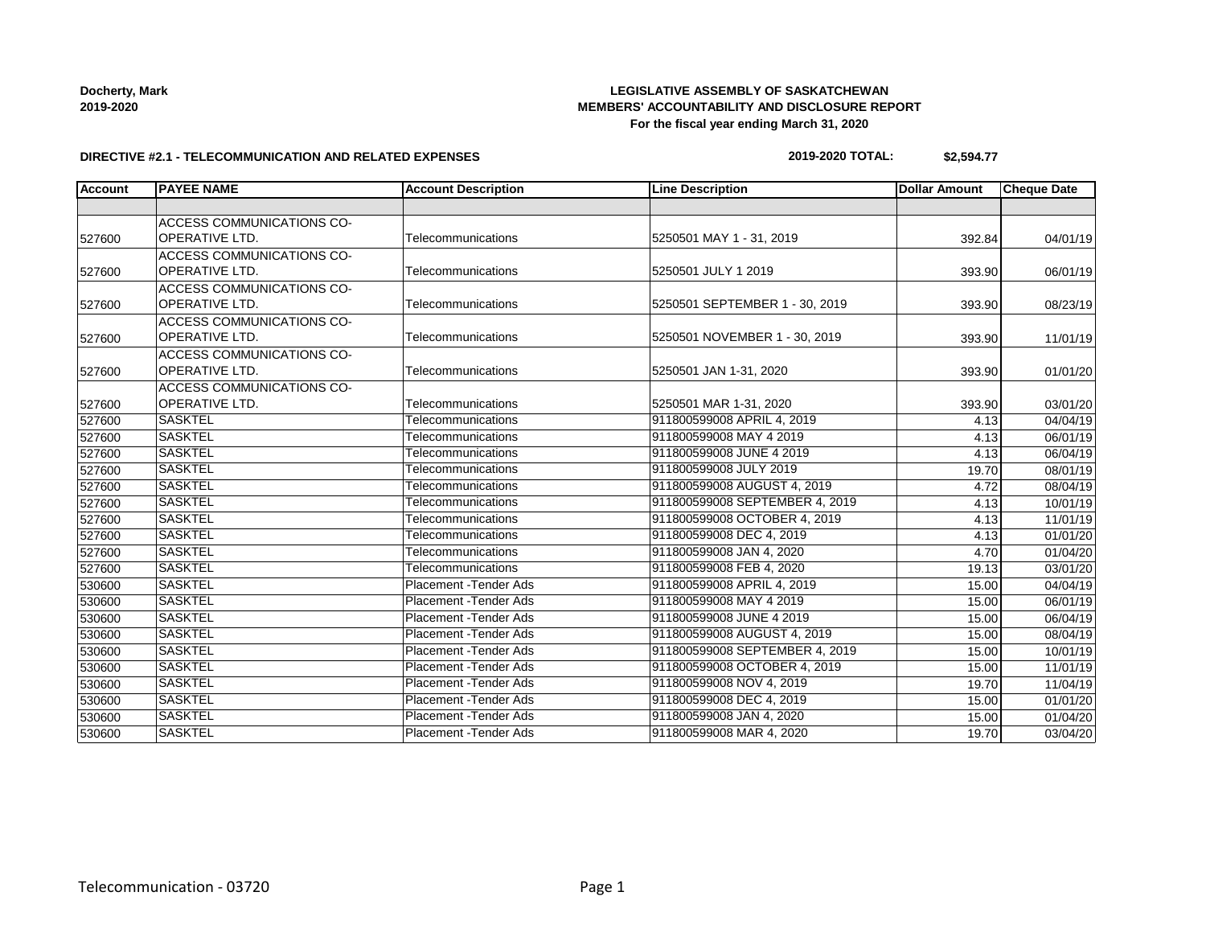## **LEGISLATIVE ASSEMBLY OF SASKATCHEWAN MEMBERS' ACCOUNTABILITY AND DISCLOSURE REPORT For the fiscal year ending March 31, 2020**

#### **DIRECTIVE #2.1 - TELECOMMUNICATION AND RELATED EXPENSES**

#### **2019-2020 TOTAL: \$2,594.77**

| <b>Account</b> | <b>PAYEE NAME</b>                | <b>Account Description</b> | <b>Line Description</b>        | <b>Dollar Amount</b> | <b>Cheque Date</b> |
|----------------|----------------------------------|----------------------------|--------------------------------|----------------------|--------------------|
|                |                                  |                            |                                |                      |                    |
|                | ACCESS COMMUNICATIONS CO-        |                            |                                |                      |                    |
| 527600         | OPERATIVE LTD.                   | Telecommunications         | 5250501 MAY 1 - 31, 2019       | 392.84               | 04/01/19           |
|                | <b>ACCESS COMMUNICATIONS CO-</b> |                            |                                |                      |                    |
| 527600         | OPERATIVE LTD.                   | Telecommunications         | 5250501 JULY 1 2019            | 393.90               | 06/01/19           |
|                | <b>ACCESS COMMUNICATIONS CO-</b> |                            |                                |                      |                    |
| 527600         | <b>OPERATIVE LTD.</b>            | Telecommunications         | 5250501 SEPTEMBER 1 - 30, 2019 | 393.90               | 08/23/19           |
|                | ACCESS COMMUNICATIONS CO-        |                            |                                |                      |                    |
| 527600         | OPERATIVE LTD.                   | Telecommunications         | 5250501 NOVEMBER 1 - 30, 2019  | 393.90               | 11/01/19           |
|                | ACCESS COMMUNICATIONS CO-        |                            |                                |                      |                    |
| 527600         | OPERATIVE LTD.                   | Telecommunications         | 5250501 JAN 1-31, 2020         | 393.90               | 01/01/20           |
|                | <b>ACCESS COMMUNICATIONS CO-</b> |                            |                                |                      |                    |
| 527600         | OPERATIVE LTD.                   | Telecommunications         | 5250501 MAR 1-31, 2020         | 393.90               | 03/01/20           |
| 527600         | <b>SASKTEL</b>                   | Telecommunications         | 911800599008 APRIL 4, 2019     | 4.13                 | 04/04/19           |
| 527600         | <b>SASKTEL</b>                   | Telecommunications         | 911800599008 MAY 4 2019        | 4.13                 | 06/01/19           |
| 527600         | <b>SASKTEL</b>                   | Telecommunications         | 911800599008 JUNE 4 2019       | 4.13                 | 06/04/19           |
| 527600         | <b>SASKTEL</b>                   | Telecommunications         | 911800599008 JULY 2019         | 19.70                | 08/01/19           |
| 527600         | <b>SASKTEL</b>                   | Telecommunications         | 911800599008 AUGUST 4, 2019    | 4.72                 | 08/04/19           |
| 527600         | <b>SASKTEL</b>                   | Telecommunications         | 911800599008 SEPTEMBER 4, 2019 | 4.13                 | 10/01/19           |
| 527600         | <b>SASKTEL</b>                   | Telecommunications         | 911800599008 OCTOBER 4, 2019   | 4.13                 | 11/01/19           |
| 527600         | <b>SASKTEL</b>                   | Telecommunications         | 911800599008 DEC 4, 2019       | 4.13                 | 01/01/20           |
| 527600         | <b>SASKTEL</b>                   | Telecommunications         | 911800599008 JAN 4, 2020       | 4.70                 | 01/04/20           |
| 527600         | <b>SASKTEL</b>                   | Telecommunications         | 911800599008 FEB 4, 2020       | 19.13                | 03/01/20           |
| 530600         | <b>SASKTEL</b>                   | Placement - Tender Ads     | 911800599008 APRIL 4, 2019     | 15.00                | 04/04/19           |
| 530600         | <b>SASKTEL</b>                   | Placement - Tender Ads     | 911800599008 MAY 4 2019        | 15.00                | 06/01/19           |
| 530600         | <b>SASKTEL</b>                   | Placement - Tender Ads     | 911800599008 JUNE 4 2019       | 15.00                | 06/04/19           |
| 530600         | <b>SASKTEL</b>                   | Placement - Tender Ads     | 911800599008 AUGUST 4, 2019    | 15.00                | 08/04/19           |
| 530600         | <b>SASKTEL</b>                   | Placement - Tender Ads     | 911800599008 SEPTEMBER 4, 2019 | 15.00                | 10/01/19           |
| 530600         | <b>SASKTEL</b>                   | Placement - Tender Ads     | 911800599008 OCTOBER 4, 2019   | 15.00                | 11/01/19           |
| 530600         | <b>SASKTEL</b>                   | Placement - Tender Ads     | 911800599008 NOV 4, 2019       | 19.70                | 11/04/19           |
| 530600         | <b>SASKTEL</b>                   | Placement - Tender Ads     | 911800599008 DEC 4, 2019       | 15.00                | 01/01/20           |
| 530600         | <b>SASKTEL</b>                   | Placement - Tender Ads     | 911800599008 JAN 4, 2020       | 15.00                | 01/04/20           |
| 530600         | <b>SASKTEL</b>                   | Placement - Tender Ads     | 911800599008 MAR 4, 2020       | 19.70                | 03/04/20           |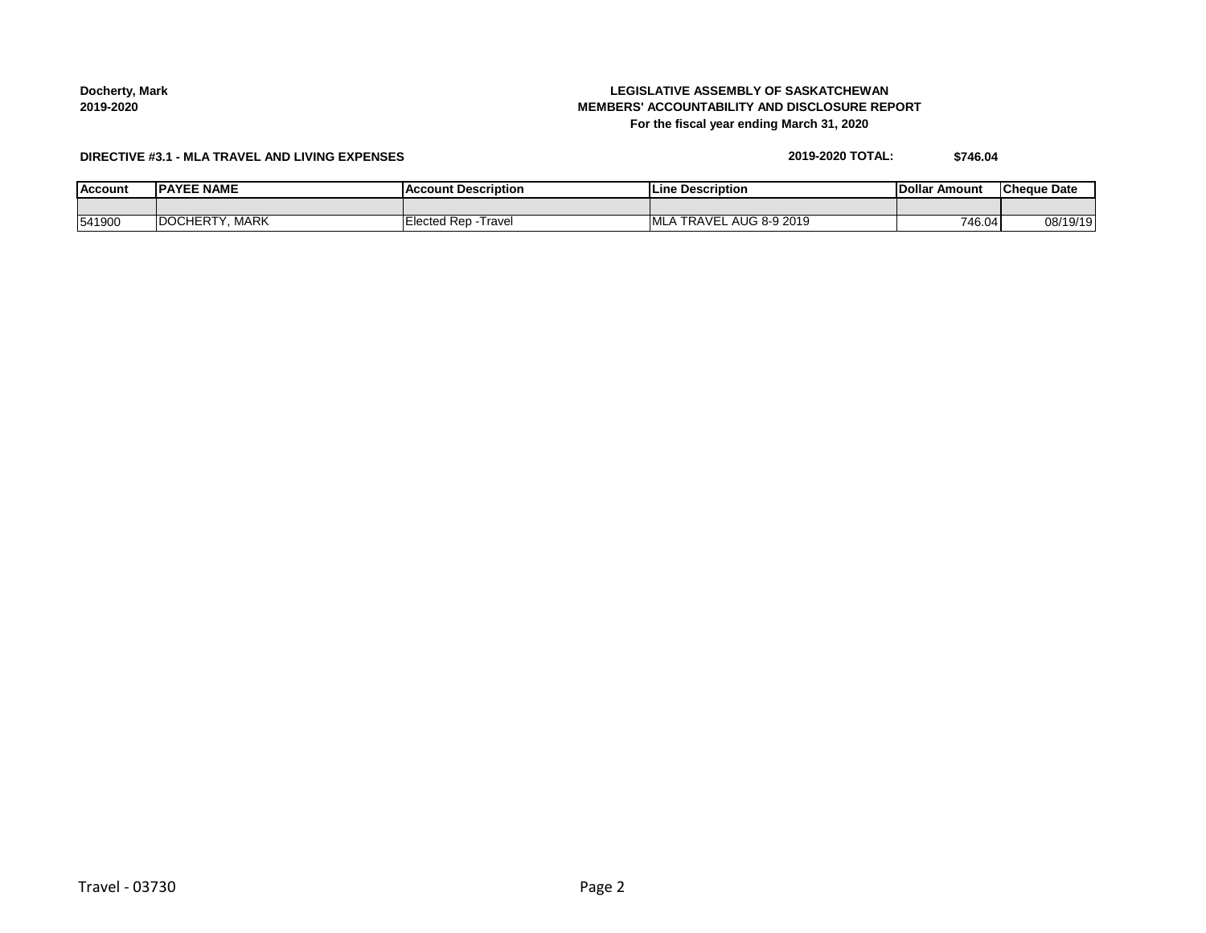**Docherty, Mark 2019-2020**

## **LEGISLATIVE ASSEMBLY OF SASKATCHEWAN MEMBERS' ACCOUNTABILITY AND DISCLOSURE REPORT For the fiscal year ending March 31, 2020**

## **DIRECTIVE #3.1 - MLA TRAVEL AND LIVING EXPENSES**

| 2019-2020 TOTAL: | \$746.04 |
|------------------|----------|
|                  |          |

| <b>Account</b> | IPAYEE NAME     | count Description<br>1 AC | : Description<br><b>ILine</b> | Amount<br>lDollar | ICheaue Date |
|----------------|-----------------|---------------------------|-------------------------------|-------------------|--------------|
|                |                 |                           |                               |                   |              |
| 541900         | MARK<br>DO'<br> | Rep<br>⊺ravel<br>Electec  | 2019<br>8-9<br>RД             | 746.04            | 08/19/19     |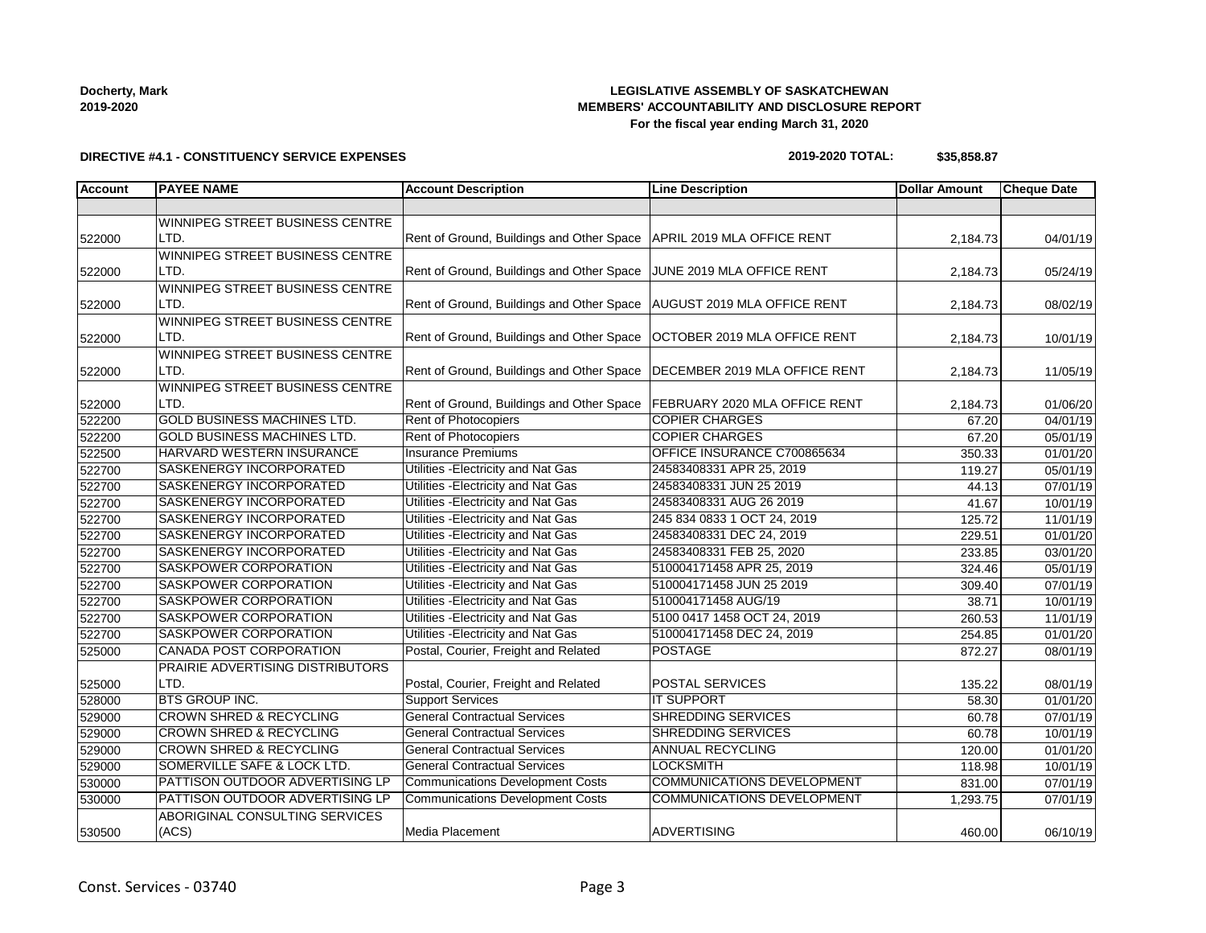### **Docherty, Mark 2019-2020**

## **LEGISLATIVE ASSEMBLY OF SASKATCHEWAN MEMBERS' ACCOUNTABILITY AND DISCLOSURE REPORT For the fiscal year ending March 31, 2020**

## **DIRECTIVE #4.1 - CONSTITUENCY SERVICE EXPENSES**

#### **2019-2020 TOTAL: \$35,858.87**

| <b>Account</b> | <b>PAYEE NAME</b>                  | <b>Account Description</b>                | <b>Line Description</b>              | <b>Dollar Amount</b> | <b>Cheque Date</b>    |
|----------------|------------------------------------|-------------------------------------------|--------------------------------------|----------------------|-----------------------|
|                |                                    |                                           |                                      |                      |                       |
|                | WINNIPEG STREET BUSINESS CENTRE    |                                           |                                      |                      |                       |
| 522000         | LTD.                               | Rent of Ground, Buildings and Other Space | APRIL 2019 MLA OFFICE RENT           | 2,184.73             | 04/01/19              |
|                | WINNIPEG STREET BUSINESS CENTRE    |                                           |                                      |                      |                       |
| 522000         | LTD.                               | Rent of Ground, Buildings and Other Space | JUNE 2019 MLA OFFICE RENT            | 2,184.73             | 05/24/19              |
|                | WINNIPEG STREET BUSINESS CENTRE    |                                           |                                      |                      |                       |
| 522000         | LTD.                               | Rent of Ground, Buildings and Other Space | <b>AUGUST 2019 MLA OFFICE RENT</b>   | 2,184.73             | 08/02/19              |
|                | WINNIPEG STREET BUSINESS CENTRE    |                                           |                                      |                      |                       |
| 522000         | LTD.                               | Rent of Ground, Buildings and Other Space | OCTOBER 2019 MLA OFFICE RENT         | 2,184.73             | 10/01/19              |
|                | WINNIPEG STREET BUSINESS CENTRE    |                                           |                                      |                      |                       |
| 522000         | LTD.                               | Rent of Ground, Buildings and Other Space | DECEMBER 2019 MLA OFFICE RENT        | 2,184.73             | 11/05/19              |
|                | WINNIPEG STREET BUSINESS CENTRE    |                                           |                                      |                      |                       |
| 522000         | LTD.                               | Rent of Ground, Buildings and Other Space | <b>FEBRUARY 2020 MLA OFFICE RENT</b> | 2,184.73             | 01/06/20              |
| 522200         | <b>GOLD BUSINESS MACHINES LTD.</b> | Rent of Photocopiers                      | <b>COPIER CHARGES</b>                | 67.20                | $\overline{04/0}1/19$ |
| 522200         | <b>GOLD BUSINESS MACHINES LTD.</b> | <b>Rent of Photocopiers</b>               | <b>COPIER CHARGES</b>                | 67.20                | 05/01/19              |
| 522500         | HARVARD WESTERN INSURANCE          | <b>Insurance Premiums</b>                 | OFFICE INSURANCE C700865634          | 350.33               | 01/01/20              |
| 522700         | SASKENERGY INCORPORATED            | Utilities - Electricity and Nat Gas       | 24583408331 APR 25, 2019             | 119.27               | 05/01/19              |
| 522700         | SASKENERGY INCORPORATED            | Utilities - Electricity and Nat Gas       | 24583408331 JUN 25 2019              | 44.13                | 07/01/19              |
| 522700         | SASKENERGY INCORPORATED            | Utilities - Electricity and Nat Gas       | 24583408331 AUG 26 2019              | 41.67                | 10/01/19              |
| 522700         | SASKENERGY INCORPORATED            | Utilities - Electricity and Nat Gas       | 245 834 0833 1 OCT 24, 2019          | 125.72               | 11/01/19              |
| 522700         | SASKENERGY INCORPORATED            | Utilities - Electricity and Nat Gas       | 24583408331 DEC 24, 2019             | 229.51               | $\overline{01/01/20}$ |
| 522700         | SASKENERGY INCORPORATED            | Utilities - Electricity and Nat Gas       | 24583408331 FEB 25, 2020             | 233.85               | 03/01/20              |
| 522700         | SASKPOWER CORPORATION              | Utilities - Electricity and Nat Gas       | 510004171458 APR 25, 2019            | 324.46               | 05/01/19              |
| 522700         | SASKPOWER CORPORATION              | Utilities - Electricity and Nat Gas       | 510004171458 JUN 25 2019             | 309.40               | 07/01/19              |
| 522700         | SASKPOWER CORPORATION              | Utilities - Electricity and Nat Gas       | 510004171458 AUG/19                  | 38.71                | 10/01/19              |
| 522700         | <b>SASKPOWER CORPORATION</b>       | Utilities - Electricity and Nat Gas       | 5100 0417 1458 OCT 24, 2019          | 260.53               | 11/01/19              |
| 522700         | SASKPOWER CORPORATION              | Utilities - Electricity and Nat Gas       | 510004171458 DEC 24, 2019            | 254.85               | 01/01/20              |
| 525000         | CANADA POST CORPORATION            | Postal, Courier, Freight and Related      | <b>POSTAGE</b>                       | 872.27               | 08/01/19              |
|                | PRAIRIE ADVERTISING DISTRIBUTORS   |                                           |                                      |                      |                       |
| 525000         | LTD.                               | Postal, Courier, Freight and Related      | POSTAL SERVICES                      | 135.22               | 08/01/19              |
| 528000         | <b>BTS GROUP INC.</b>              | <b>Support Services</b>                   | <b>IT SUPPORT</b>                    | 58.30                | 01/01/20              |
| 529000         | <b>CROWN SHRED &amp; RECYCLING</b> | <b>General Contractual Services</b>       | <b>SHREDDING SERVICES</b>            | 60.78                | 07/01/19              |
| 529000         | <b>CROWN SHRED &amp; RECYCLING</b> | <b>General Contractual Services</b>       | <b>SHREDDING SERVICES</b>            | 60.78                | 10/01/19              |
| 529000         | <b>CROWN SHRED &amp; RECYCLING</b> | <b>General Contractual Services</b>       | <b>ANNUAL RECYCLING</b>              | 120.00               | 01/01/20              |
| 529000         | SOMERVILLE SAFE & LOCK LTD.        | <b>General Contractual Services</b>       | <b>LOCKSMITH</b>                     | 118.98               | 10/01/19              |
| 530000         | PATTISON OUTDOOR ADVERTISING LP    | <b>Communications Development Costs</b>   | COMMUNICATIONS DEVELOPMENT           | 831.00               | 07/01/19              |
| 530000         | PATTISON OUTDOOR ADVERTISING LP    | <b>Communications Development Costs</b>   | COMMUNICATIONS DEVELOPMENT           | 1,293.75             | 07/01/19              |
|                | ABORIGINAL CONSULTING SERVICES     |                                           |                                      |                      |                       |
| 530500         | (ACS)                              | Media Placement                           | <b>ADVERTISING</b>                   | 460.00               | 06/10/19              |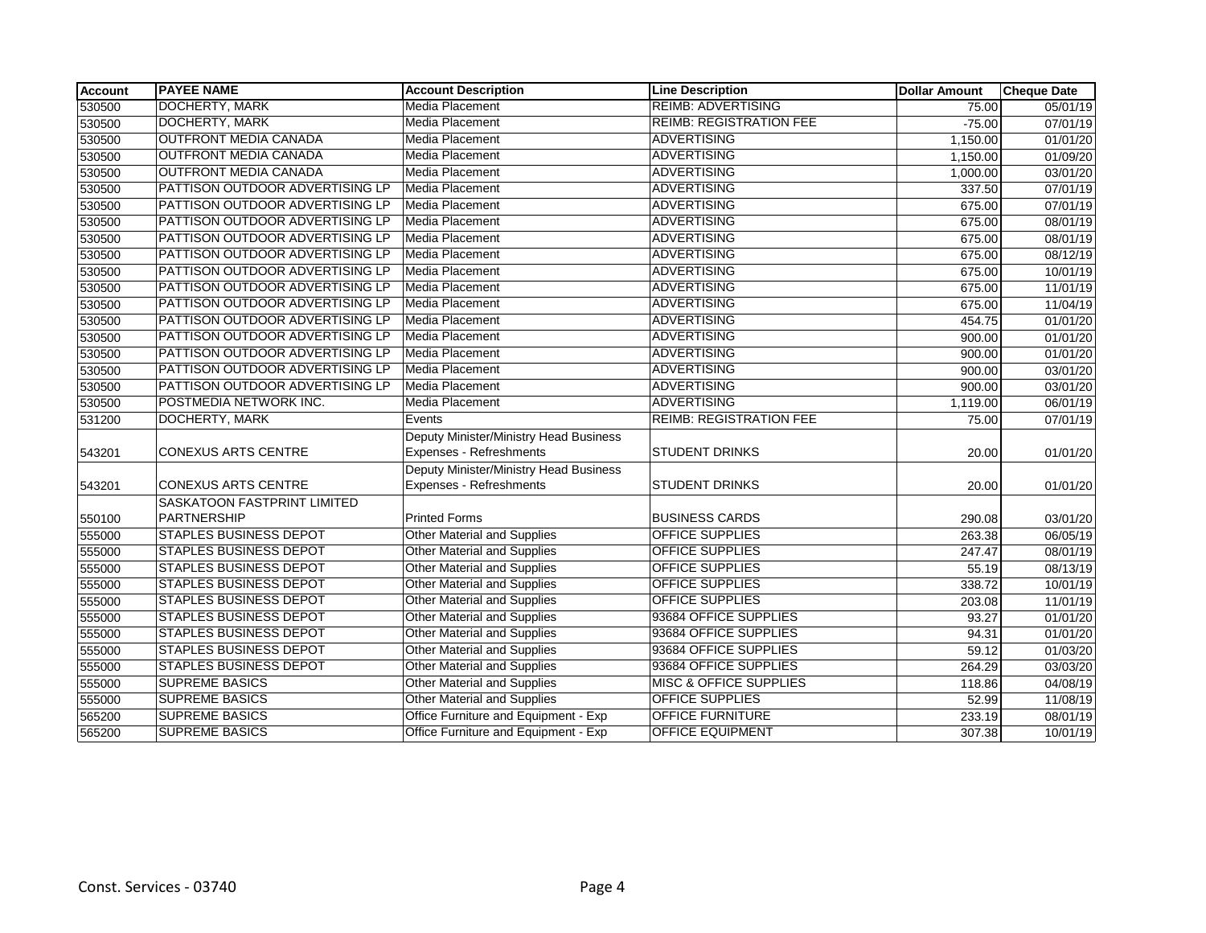| <b>Account</b> | <b>PAYEE NAME</b>                  | <b>Account Description</b>             | <b>Line Description</b>           | <b>Dollar Amount</b> | <b>Cheque Date</b> |
|----------------|------------------------------------|----------------------------------------|-----------------------------------|----------------------|--------------------|
| 530500         | <b>DOCHERTY, MARK</b>              | <b>Media Placement</b>                 | <b>REIMB: ADVERTISING</b>         | 75.00                | 05/01/19           |
| 530500         | <b>DOCHERTY, MARK</b>              | <b>Media Placement</b>                 | <b>REIMB: REGISTRATION FEE</b>    | $-75.00$             | 07/01/19           |
| 530500         | <b>OUTFRONT MEDIA CANADA</b>       | <b>Media Placement</b>                 | <b>ADVERTISING</b>                | 1,150.00             | 01/01/20           |
| 530500         | <b>OUTFRONT MEDIA CANADA</b>       | Media Placement                        | <b>ADVERTISING</b>                | 1,150.00             | 01/09/20           |
| 530500         | <b>OUTFRONT MEDIA CANADA</b>       | Media Placement                        | <b>ADVERTISING</b>                | 1,000.00             | 03/01/20           |
| 530500         | PATTISON OUTDOOR ADVERTISING LP    | Media Placement                        | <b>ADVERTISING</b>                | 337.50               | 07/01/19           |
| 530500         | PATTISON OUTDOOR ADVERTISING LP    | <b>Media Placement</b>                 | <b>ADVERTISING</b>                | 675.00               | 07/01/19           |
| 530500         | PATTISON OUTDOOR ADVERTISING LP    | Media Placement                        | <b>ADVERTISING</b>                | 675.00               | 08/01/19           |
| 530500         | PATTISON OUTDOOR ADVERTISING LP    | Media Placement                        | <b>ADVERTISING</b>                | 675.00               | 08/01/19           |
| 530500         | PATTISON OUTDOOR ADVERTISING LP    | Media Placement                        | <b>ADVERTISING</b>                | 675.00               | 08/12/19           |
| 530500         | PATTISON OUTDOOR ADVERTISING LP    | Media Placement                        | <b>ADVERTISING</b>                | 675.00               | 10/01/19           |
| 530500         | PATTISON OUTDOOR ADVERTISING LP    | Media Placement                        | <b>ADVERTISING</b>                | 675.00               | 11/01/19           |
| 530500         | PATTISON OUTDOOR ADVERTISING LP    | <b>Media Placement</b>                 | <b>ADVERTISING</b>                | 675.00               | 11/04/19           |
| 530500         | PATTISON OUTDOOR ADVERTISING LP    | Media Placement                        | <b>ADVERTISING</b>                | 454.75               | 01/01/20           |
| 530500         | PATTISON OUTDOOR ADVERTISING LP    | Media Placement                        | <b>ADVERTISING</b>                | 900.00               | 01/01/20           |
| 530500         | PATTISON OUTDOOR ADVERTISING LP    | Media Placement                        | <b>ADVERTISING</b>                | 900.00               | 01/01/20           |
| 530500         | PATTISON OUTDOOR ADVERTISING LP    | Media Placement                        | <b>ADVERTISING</b>                | 900.00               | 03/01/20           |
| 530500         | PATTISON OUTDOOR ADVERTISING LP    | Media Placement                        | <b>ADVERTISING</b>                | 900.00               | 03/01/20           |
| 530500         | POSTMEDIA NETWORK INC.             | Media Placement                        | <b>ADVERTISING</b>                | 1,119.00             | 06/01/19           |
| 531200         | DOCHERTY, MARK                     | Events                                 | <b>REIMB: REGISTRATION FEE</b>    | 75.00                | 07/01/19           |
|                |                                    | Deputy Minister/Ministry Head Business |                                   |                      |                    |
| 543201         | <b>CONEXUS ARTS CENTRE</b>         | Expenses - Refreshments                | <b>STUDENT DRINKS</b>             | 20.00                | 01/01/20           |
|                |                                    | Deputy Minister/Ministry Head Business |                                   |                      |                    |
| 543201         | <b>CONEXUS ARTS CENTRE</b>         | Expenses - Refreshments                | <b>STUDENT DRINKS</b>             | 20.00                | 01/01/20           |
|                | <b>SASKATOON FASTPRINT LIMITED</b> |                                        |                                   |                      |                    |
| 550100         | PARTNERSHIP                        | <b>Printed Forms</b>                   | <b>BUSINESS CARDS</b>             | 290.08               | 03/01/20           |
| 555000         | <b>STAPLES BUSINESS DEPOT</b>      | <b>Other Material and Supplies</b>     | <b>OFFICE SUPPLIES</b>            | 263.38               | 06/05/19           |
| 555000         | <b>STAPLES BUSINESS DEPOT</b>      | Other Material and Supplies            | <b>OFFICE SUPPLIES</b>            | 247.47               | 08/01/19           |
| 555000         | <b>STAPLES BUSINESS DEPOT</b>      | <b>Other Material and Supplies</b>     | <b>OFFICE SUPPLIES</b>            | 55.19                | 08/13/19           |
| 555000         | <b>STAPLES BUSINESS DEPOT</b>      | <b>Other Material and Supplies</b>     | <b>OFFICE SUPPLIES</b>            | 338.72               | 10/01/19           |
| 555000         | <b>STAPLES BUSINESS DEPOT</b>      | <b>Other Material and Supplies</b>     | <b>OFFICE SUPPLIES</b>            | 203.08               | 11/01/19           |
| 555000         | <b>STAPLES BUSINESS DEPOT</b>      | <b>Other Material and Supplies</b>     | 93684 OFFICE SUPPLIES             | 93.27                | 01/01/20           |
| 555000         | <b>STAPLES BUSINESS DEPOT</b>      | Other Material and Supplies            | 93684 OFFICE SUPPLIES             | 94.31                | 01/01/20           |
| 555000         | <b>STAPLES BUSINESS DEPOT</b>      | <b>Other Material and Supplies</b>     | 93684 OFFICE SUPPLIES             | 59.12                | 01/03/20           |
| 555000         | <b>STAPLES BUSINESS DEPOT</b>      | <b>Other Material and Supplies</b>     | 93684 OFFICE SUPPLIES             | 264.29               | 03/03/20           |
| 555000         | <b>SUPREME BASICS</b>              | <b>Other Material and Supplies</b>     | <b>MISC &amp; OFFICE SUPPLIES</b> | 118.86               | 04/08/19           |
| 555000         | <b>SUPREME BASICS</b>              | <b>Other Material and Supplies</b>     | <b>OFFICE SUPPLIES</b>            | 52.99                | 11/08/19           |
| 565200         | <b>SUPREME BASICS</b>              | Office Furniture and Equipment - Exp   | <b>OFFICE FURNITURE</b>           | 233.19               | 08/01/19           |
| 565200         | <b>SUPREME BASICS</b>              | Office Furniture and Equipment - Exp   | <b>OFFICE EQUIPMENT</b>           | 307.38               | 10/01/19           |